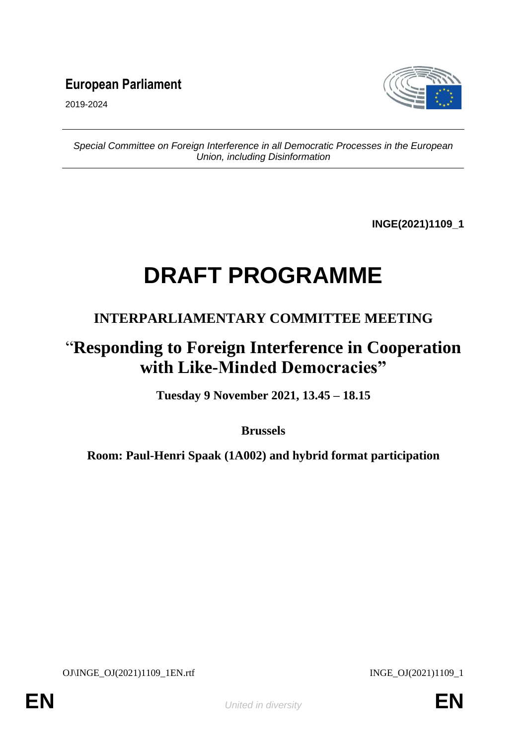### **European Parliament**



2019-2024

*Special Committee on Foreign Interference in all Democratic Processes in the European Union, including Disinformation*

**INGE(2021)1109\_1**

# **DRAFT PROGRAMME**

#### **INTERPARLIAMENTARY COMMITTEE MEETING**

## "**Responding to Foreign Interference in Cooperation with Like-Minded Democracies"**

**Tuesday 9 November 2021, 13.45 – 18.15**

**Brussels**

**Room: Paul-Henri Spaak (1A002) and hybrid format participation**

OJ\INGE\_OJ(2021)1109\_1EN.rtf INGE\_OJ(2021)1109\_1